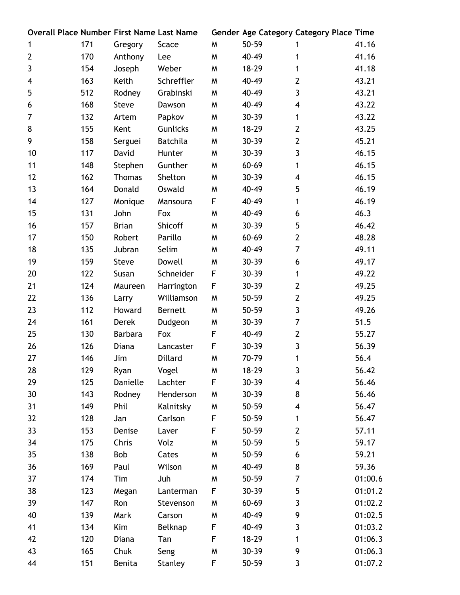| <b>Overall Place Number First Name Last Name</b> |     |                |                 |   |           | <b>Gender Age Category Category Place Time</b> |         |
|--------------------------------------------------|-----|----------------|-----------------|---|-----------|------------------------------------------------|---------|
| 1                                                | 171 | Gregory        | Scace           | W | 50-59     | 1                                              | 41.16   |
| $\overline{2}$                                   | 170 | Anthony        | Lee             | W | 40-49     | 1                                              | 41.16   |
| 3                                                | 154 | Joseph         | Weber           | W | 18-29     | 1                                              | 41.18   |
| 4                                                | 163 | Keith          | Schreffler      | W | 40-49     | $\mathbf{2}$                                   | 43.21   |
| 5                                                | 512 | Rodney         | Grabinski       | W | 40-49     | 3                                              | 43.21   |
| 6                                                | 168 | <b>Steve</b>   | Dawson          | W | 40-49     | 4                                              | 43.22   |
| 7                                                | 132 | Artem          | Papkov          | W | $30 - 39$ | 1                                              | 43.22   |
| 8                                                | 155 | Kent           | Gunlicks        | W | 18-29     | $\overline{2}$                                 | 43.25   |
| 9                                                | 158 | Serguei        | <b>Batchila</b> | W | $30 - 39$ | $\overline{2}$                                 | 45.21   |
| 10                                               | 117 | David          | Hunter          | W | $30 - 39$ | 3                                              | 46.15   |
| 11                                               | 148 | Stephen        | Gunther         | W | 60-69     | 1                                              | 46.15   |
| 12                                               | 162 | <b>Thomas</b>  | Shelton         | W | $30 - 39$ | 4                                              | 46.15   |
| 13                                               | 164 | Donald         | Oswald          | W | 40-49     | 5                                              | 46.19   |
| 14                                               | 127 | Monique        | Mansoura        | F | 40-49     | 1                                              | 46.19   |
| 15                                               | 131 | John           | Fox             | W | 40-49     | 6                                              | 46.3    |
| 16                                               | 157 | <b>Brian</b>   | Shicoff         | W | $30 - 39$ | 5                                              | 46.42   |
| 17                                               | 150 | Robert         | Parillo         | W | 60-69     | $\overline{2}$                                 | 48.28   |
| 18                                               | 135 | Jubran         | Selim           | W | 40-49     | 7                                              | 49.11   |
| 19                                               | 159 | <b>Steve</b>   | Dowell          | W | $30 - 39$ | 6                                              | 49.17   |
| 20                                               | 122 | Susan          | Schneider       | F | $30 - 39$ | 1                                              | 49.22   |
| 21                                               | 124 | Maureen        | Harrington      | F | 30-39     | $\overline{2}$                                 | 49.25   |
| 22                                               | 136 | Larry          | Williamson      | W | 50-59     | $\overline{2}$                                 | 49.25   |
| 23                                               | 112 | Howard         | Bernett         | W | 50-59     | 3                                              | 49.26   |
| 24                                               | 161 | <b>Derek</b>   | Dudgeon         | W | $30 - 39$ | 7                                              | 51.5    |
| 25                                               | 130 | <b>Barbara</b> | Fox             | F | 40-49     | $\overline{2}$                                 | 55.27   |
| 26                                               | 126 | Diana          | Lancaster       | F | $30 - 39$ | 3                                              | 56.39   |
| 27                                               | 146 | Jim            | Dillard         | W | 70-79     | 1                                              | 56.4    |
| 28                                               | 129 | Ryan           | Vogel           | W | 18-29     | 3                                              | 56.42   |
| 29                                               | 125 | Danielle       | Lachter         | F | 30-39     | 4                                              | 56.46   |
| 30                                               | 143 | Rodney         | Henderson       | W | 30-39     | 8                                              | 56.46   |
| 31                                               | 149 | Phil           | Kalnitsky       | W | 50-59     | 4                                              | 56.47   |
| 32                                               | 128 | Jan            | Carlson         | F | 50-59     | 1                                              | 56.47   |
| 33                                               | 153 | Denise         | Laver           | F | 50-59     | $\overline{2}$                                 | 57.11   |
| 34                                               | 175 | Chris          | Volz            | W | 50-59     | 5                                              | 59.17   |
| 35                                               | 138 | <b>Bob</b>     | Cates           | W | 50-59     | 6                                              | 59.21   |
| 36                                               | 169 | Paul           | Wilson          | W | 40-49     | 8                                              | 59.36   |
| 37                                               | 174 | Tim            | Juh             | W | 50-59     | 7                                              | 01:00.6 |
| 38                                               | 123 | Megan          | Lanterman       | F | 30-39     | 5                                              | 01:01.2 |
| 39                                               | 147 | Ron            | Stevenson       | W | 60-69     | 3                                              | 01:02.2 |
| 40                                               | 139 | Mark           | Carson          | W | 40-49     | 9                                              | 01:02.5 |
| 41                                               | 134 | Kim            | Belknap         | F | 40-49     | 3                                              | 01:03.2 |
| 42                                               | 120 | Diana          | Tan             | F | 18-29     | 1                                              | 01:06.3 |
| 43                                               | 165 | Chuk           | Seng            | W | 30-39     | 9                                              | 01:06.3 |
| 44                                               | 151 | Benita         | Stanley         | F | 50-59     | 3                                              | 01:07.2 |